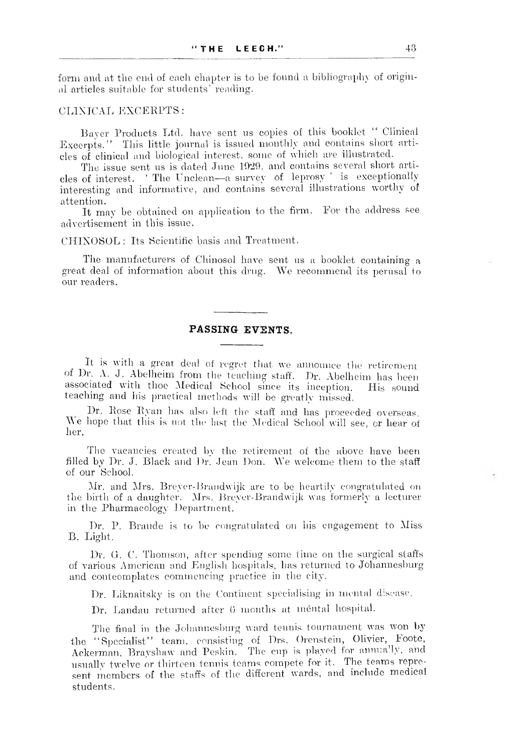form and at the end of each chapter is to be found a bibliography of original articles suitable for students' reading.

## CLINICAL EXCERPTS:

Bayer Products Ltd. have sent us copies of this booklet " Clinical Excerpts." This little journal is issued monthly and contains short articles of clinical and biological interest, some of which are illustrated.

The issue sent us is dated June 1029, and contains several short articles of interest. ' The Unclean— a survey of leprosy ' is exceptionally interesting and informative, and contains several illustrations worthy of attention.

It may be obtained on application to the firm. For the address see advertisement in this issue.

CHINOSOL : Its Scientific basis and Treatment.

The manufacturers of Chinosol have sent us a booklet containing a great deal of information about this drug. We recommend its perusal to our readers.

## **PASSING EVENTS.**

It is with a great deal of regret that we announce the retirement of Dr. A. J. Abelheim from the teaching staff. Dr. Abelheim has been associated with thoe Medical School since its inception. His sound teaching and his practical methods will be greatly missed.

Dr. Rose Ryan has also left the staff and has proceeded overseas. We hope that this is not the last the Medical School will see, or hear of her.

The vacancies created by the retirement of the above have been filled by Dr. J. Black and Dr. Jean Don. We welcome them to the staff of our School.

Mr. and Mrs. Breyer-Brandwijk are to be heartily congratulated on the birth of a daughter. Mrs. Breyer-Brandwijk was formerly a lecturer in the Pharmacology Department.

Dr. P. Braude is to be congratulated on his engagement to Miss B. Light.

Dr. G. C. Thomson, after spending some time on the surgical staffs of various American and English hospitals, has returned to Johannesburg and conteomplates commencing practice in the city.

Dr. Liknaitsky is on the Continent specialising in mental disease.

Dr. Landau returned after 0 months at mental hospital.

The final in the Johannesburg ward tennis tournament was won by the "Specialist" team, consisting of Drs. Orenstein, Olivier, Foote, Ackerman, Brayshaw and Peskin. The cup is played for annually, and usually twelve or thirteen tennis teams compete for it. The teams represent members of the staffs of the different wards, and include medical students.